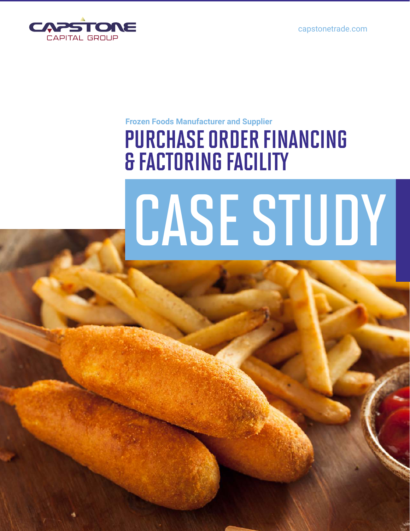capstonetrade.com



#### **Frozen Foods Manufacturer and Supplier**

## PURCHASE ORDER FINANCING & FACTORING FACILITY

# CASE STUDY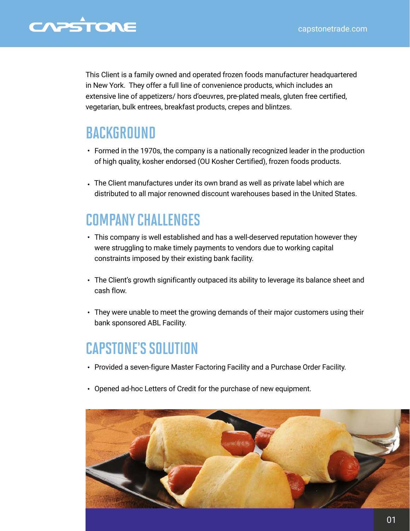### CAPSTONE

This Client is a family owned and operated frozen foods manufacturer headquartered in New York. They offer a full line of convenience products, which includes an extensive line of appetizers/ hors d'oeuvres, pre-plated meals, gluten free certified, vegetarian, bulk entrees, breakfast products, crepes and blintzes.

#### **BACKGROUND**

- Formed in the 1970s, the company is a nationally recognized leader in the production of high quality, kosher endorsed (OU Kosher Certified), frozen foods products.
- The Client manufactures under its own brand as well as private label which are distributed to all major renowned discount warehouses based in the United States.

#### COMPANY CHALLENGES

- This company is well established and has a well-deserved reputation however they were struggling to make timely payments to vendors due to working capital constraints imposed by their existing bank facility.
- The Client's growth significantly outpaced its ability to leverage its balance sheet and cash flow.
- They were unable to meet the growing demands of their major customers using their bank sponsored ABL Facility.

#### CAPSTONE'S SOLUTION

- Provided a seven-figure Master Factoring Facility and a Purchase Order Facility.
- Opened ad-hoc Letters of Credit for the purchase of new equipment.